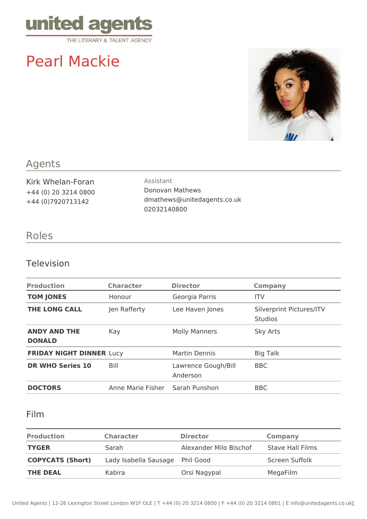

# Pearl Mackie



## Agents

Kirk Whelan-Foran +44 (0) 20 3214 0800 +44 (0)7920713142

Assistant Donovan Mathews dmathews@unitedagents.co.uk 02032140800

### Roles

#### Television

| <b>Production</b>                    | <b>Character</b>  | <b>Director</b>                 | <b>Company</b>                             |
|--------------------------------------|-------------------|---------------------------------|--------------------------------------------|
| <b>TOM JONES</b>                     | Honour            | Georgia Parris                  | <b>ITV</b>                                 |
| <b>THE LONG CALL</b>                 | Jen Rafferty      | Lee Haven Jones                 | Silverprint Pictures/ITV<br><b>Studios</b> |
| <b>ANDY AND THE</b><br><b>DONALD</b> | Kay               | <b>Molly Manners</b>            | <b>Sky Arts</b>                            |
| <b>FRIDAY NIGHT DINNER Lucy</b>      |                   | Martin Dennis                   | <b>Big Talk</b>                            |
| <b>DR WHO Series 10</b>              | Bill              | Lawrence Gough/Bill<br>Anderson | <b>BBC</b>                                 |
| <b>DOCTORS</b>                       | Anne Marie Fisher | Sarah Punshon                   | <b>BBC</b>                                 |

#### Film

| <b>Production</b>       | <b>Character</b>                | <b>Director</b>        | <b>Company</b>          |
|-------------------------|---------------------------------|------------------------|-------------------------|
| <b>TYGER</b>            | Sarah                           | Alexander Milo Bischof | <b>Stave Hall Films</b> |
| <b>COPYCATS (Short)</b> | Lady Isabella Sausage Phil Good |                        | Screen Suffolk          |
| <b>THE DEAL</b>         | Kabira                          | Orsi Nagypal           | MegaFilm                |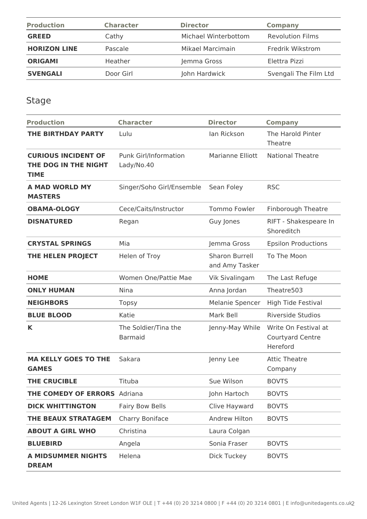| <b>Production</b>   | <b>Character</b> | <b>Director</b>      | Company                 |
|---------------------|------------------|----------------------|-------------------------|
| <b>GREED</b>        | Cathy            | Michael Winterbottom | <b>Revolution Films</b> |
| <b>HORIZON LINE</b> | Pascale          | Mikael Marcimain     | Fredrik Wikstrom        |
| <b>ORIGAMI</b>      | Heather          | Jemma Gross          | Elettra Pizzi           |
| <b>SVENGALI</b>     | Door Girl        | John Hardwick        | Svengali The Film Ltd   |

Stage

| <b>Production</b>                                                 | <b>Character</b>                           | <b>Director</b>                  | <b>Company</b>                                       |
|-------------------------------------------------------------------|--------------------------------------------|----------------------------------|------------------------------------------------------|
| THE BIRTHDAY PARTY                                                | Lulu                                       | lan Rickson                      | The Harold Pinter<br>Theatre                         |
| <b>CURIOUS INCIDENT OF</b><br>THE DOG IN THE NIGHT<br><b>TIME</b> | <b>Punk Girl/Information</b><br>Lady/No.40 | Marianne Elliott                 | <b>National Theatre</b>                              |
| A MAD WORLD MY<br><b>MASTERS</b>                                  | Singer/Soho Girl/Ensemble                  | Sean Foley                       | <b>RSC</b>                                           |
| <b>OBAMA-OLOGY</b>                                                | Cece/Caits/Instructor                      | <b>Tommo Fowler</b>              | <b>Finborough Theatre</b>                            |
| <b>DISNATURED</b>                                                 | Regan                                      | Guy Jones                        | RIFT - Shakespeare In<br>Shoreditch                  |
| <b>CRYSTAL SPRINGS</b>                                            | Mia                                        | Jemma Gross                      | <b>Epsilon Productions</b>                           |
| THE HELEN PROJECT                                                 | Helen of Troy                              | Sharon Burrell<br>and Amy Tasker | To The Moon                                          |
| <b>HOME</b>                                                       | Women One/Pattie Mae                       | Vik Sivalingam                   | The Last Refuge                                      |
| <b>ONLY HUMAN</b>                                                 | <b>Nina</b>                                | Anna Jordan                      | Theatre503                                           |
| <b>NEIGHBORS</b>                                                  | <b>Topsy</b>                               | Melanie Spencer                  | High Tide Festival                                   |
| <b>BLUE BLOOD</b>                                                 | Katie                                      | Mark Bell                        | <b>Riverside Studios</b>                             |
| K                                                                 | The Soldier/Tina the<br><b>Barmaid</b>     | Jenny-May While                  | Write On Festival at<br>Courtyard Centre<br>Hereford |
| <b>MA KELLY GOES TO THE</b><br><b>GAMES</b>                       | Sakara                                     | Jenny Lee                        | <b>Attic Theatre</b><br>Company                      |
| <b>THE CRUCIBLE</b>                                               | Tituba                                     | Sue Wilson                       | <b>BOVTS</b>                                         |
| <b>THE COMEDY OF ERRORS</b> Adriana                               |                                            | John Hartoch                     | <b>BOVTS</b>                                         |
| <b>DICK WHITTINGTON</b>                                           | <b>Fairy Bow Bells</b>                     | Clive Hayward                    | <b>BOVTS</b>                                         |
| THE BEAUX STRATAGEM                                               | Charry Boniface                            | Andrew Hilton                    | <b>BOVTS</b>                                         |
| <b>ABOUT A GIRL WHO</b>                                           | Christina                                  | Laura Colgan                     |                                                      |
| <b>BLUEBIRD</b>                                                   | Angela                                     | Sonia Fraser                     | <b>BOVTS</b>                                         |
| <b>A MIDSUMMER NIGHTS</b><br><b>DREAM</b>                         | Helena                                     | <b>Dick Tuckey</b>               | <b>BOVTS</b>                                         |